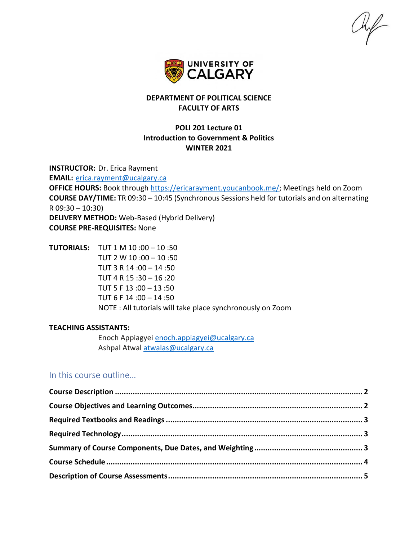$\frac{1}{2}$ 



# **DEPARTMENT OF POLITICAL SCIENCE FACULTY OF ARTS**

# **POLI 201 Lecture 01 Introduction to Government & Politics WINTER 2021**

**INSTRUCTOR:** Dr. Erica Rayment **EMAIL:** [erica.rayment@ucalgary.ca](mailto:erica.rayment@ucalgary.ca) **OFFICE HOURS:** Book through [https://ericarayment.youcanbook.me/;](https://ericarayment.youcanbook.me/) Meetings held on Zoom **COURSE DAY/TIME:** TR 09:30 – 10:45 (Synchronous Sessions held for tutorials and on alternating R 09:30 – 10:30) **DELIVERY METHOD:** Web-Based (Hybrid Delivery) **COURSE PRE-REQUISITES:** None

**TUTORIALS:** TUT 1 M 10 :00 – 10 :50 TUT 2 W 10 :00 – 10 :50 TUT 3 R 14 :00 – 14 :50 TUT 4 R 15 :30 – 16 :20 TUT 5 F 13 :00 – 13 :50 TUT 6 F 14 :00 – 14 :50 NOTE : All tutorials will take place synchronously on Zoom

### **TEACHING ASSISTANTS:**

Enoch Appiagyei [enoch.appiagyei@ucalgary.ca](mailto:enoch.appiagyei@ucalgary.ca) Ashpal Atwal [atwalas@ucalgary.ca](mailto:atwalas@ucalgary.ca)

# In this course outline…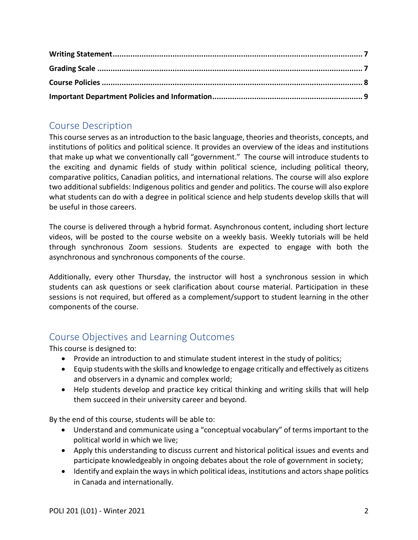# <span id="page-1-0"></span>Course Description

This course serves as an introduction to the basic language, theories and theorists, concepts, and institutions of politics and political science. It provides an overview of the ideas and institutions that make up what we conventionally call "government." The course will introduce students to the exciting and dynamic fields of study within political science, including political theory, comparative politics, Canadian politics, and international relations. The course will also explore two additional subfields: Indigenous politics and gender and politics. The course will also explore what students can do with a degree in political science and help students develop skills that will be useful in those careers.

The course is delivered through a hybrid format. Asynchronous content, including short lecture videos, will be posted to the course website on a weekly basis. Weekly tutorials will be held through synchronous Zoom sessions. Students are expected to engage with both the asynchronous and synchronous components of the course.

Additionally, every other Thursday, the instructor will host a synchronous session in which students can ask questions or seek clarification about course material. Participation in these sessions is not required, but offered as a complement/support to student learning in the other components of the course.

# <span id="page-1-1"></span>Course Objectives and Learning Outcomes

This course is designed to:

- Provide an introduction to and stimulate student interest in the study of politics;
- Equip students with the skills and knowledge to engage critically and effectively as citizens and observers in a dynamic and complex world;
- Help students develop and practice key critical thinking and writing skills that will help them succeed in their university career and beyond.

By the end of this course, students will be able to:

- Understand and communicate using a "conceptual vocabulary" of terms important to the political world in which we live;
- Apply this understanding to discuss current and historical political issues and events and participate knowledgeably in ongoing debates about the role of government in society;
- Identify and explain the ways in which political ideas, institutions and actors shape politics in Canada and internationally.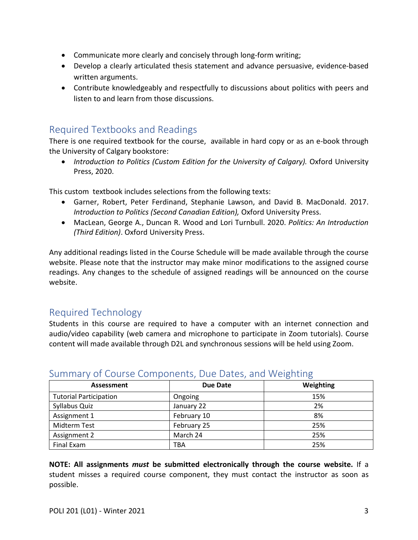- Communicate more clearly and concisely through long-form writing;
- Develop a clearly articulated thesis statement and advance persuasive, evidence-based written arguments.
- Contribute knowledgeably and respectfully to discussions about politics with peers and listen to and learn from those discussions.

# <span id="page-2-0"></span>Required Textbooks and Readings

There is one required textbook for the course, available in hard copy or as an e-book through the University of Calgary bookstore:

• *Introduction to Politics (Custom Edition for the University of Calgary).* Oxford University Press, 2020.

This custom textbook includes selections from the following texts:

- Garner, Robert, Peter Ferdinand, Stephanie Lawson, and David B. MacDonald. 2017. *Introduction to Politics (Second Canadian Edition), Oxford University Press.*
- MacLean, George A., Duncan R. Wood and Lori Turnbull. 2020. *Politics: An Introduction (Third Edition)*. Oxford University Press.

Any additional readings listed in the Course Schedule will be made available through the course website. Please note that the instructor may make minor modifications to the assigned course readings. Any changes to the schedule of assigned readings will be announced on the course website.

# <span id="page-2-1"></span>Required Technology

Students in this course are required to have a computer with an internet connection and audio/video capability (web camera and microphone to participate in Zoom tutorials). Course content will made available through D2L and synchronous sessions will be held using Zoom.

|                               |                 | ີ         |
|-------------------------------|-----------------|-----------|
| Assessment                    | <b>Due Date</b> | Weighting |
| <b>Tutorial Participation</b> | Ongoing         | 15%       |
| Syllabus Quiz                 | January 22      | 2%        |
| Assignment 1                  | February 10     | 8%        |
| <b>Midterm Test</b>           | February 25     | 25%       |
| Assignment 2                  | March 24        | 25%       |
| Final Exam                    | TBA             | 25%       |

# <span id="page-2-2"></span>Summary of Course Components, Due Dates, and Weighting

**NOTE: All assignments** *must* **be submitted electronically through the course website.** If a student misses a required course component, they must contact the instructor as soon as possible.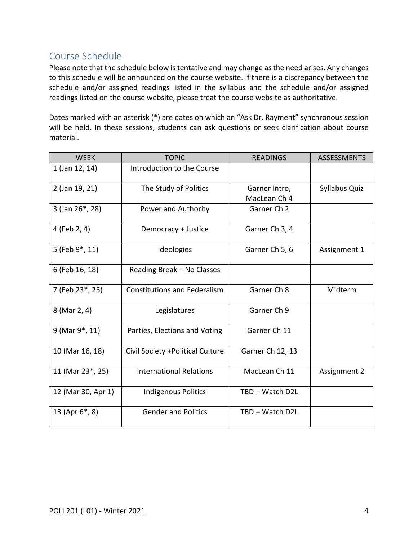# <span id="page-3-0"></span>Course Schedule

Please note that the schedule below is tentative and may change as the need arises. Any changes to this schedule will be announced on the course website. If there is a discrepancy between the schedule and/or assigned readings listed in the syllabus and the schedule and/or assigned readings listed on the course website, please treat the course website as authoritative.

Dates marked with an asterisk (\*) are dates on which an "Ask Dr. Rayment" synchronous session will be held. In these sessions, students can ask questions or seek clarification about course material.

| <b>WEEK</b>                 | <b>TOPIC</b>                        | <b>READINGS</b>               | <b>ASSESSMENTS</b> |
|-----------------------------|-------------------------------------|-------------------------------|--------------------|
| 1 (Jan 12, 14)              | Introduction to the Course          |                               |                    |
| 2 (Jan 19, 21)              | The Study of Politics               | Garner Intro,<br>MacLean Ch 4 | Syllabus Quiz      |
| 3 (Jan 26*, 28)             | Power and Authority                 | Garner Ch 2                   |                    |
| 4 (Feb 2, 4)                | Democracy + Justice                 | Garner Ch 3, 4                |                    |
| 5 (Feb 9*, 11)              | Ideologies                          | Garner Ch 5, 6                | Assignment 1       |
| 6 (Feb 16, 18)              | Reading Break - No Classes          |                               |                    |
| 7 (Feb 23*, 25)             | <b>Constitutions and Federalism</b> | Garner Ch 8                   | Midterm            |
| 8 (Mar 2, 4)                | Legislatures                        | Garner Ch 9                   |                    |
| 9 (Mar 9 <sup>*</sup> , 11) | Parties, Elections and Voting       | Garner Ch 11                  |                    |
| 10 (Mar 16, 18)             | Civil Society + Political Culture   | Garner Ch 12, 13              |                    |
| 11 (Mar 23*, 25)            | <b>International Relations</b>      | MacLean Ch 11                 | Assignment 2       |
| 12 (Mar 30, Apr 1)          | <b>Indigenous Politics</b>          | TBD - Watch D2L               |                    |
| 13 (Apr 6*, 8)              | <b>Gender and Politics</b>          | TBD - Watch D2L               |                    |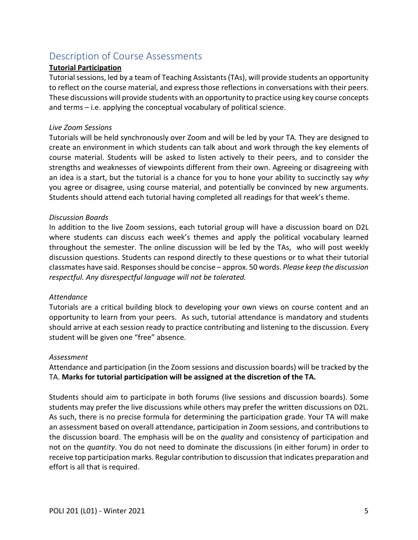# <span id="page-4-0"></span>Description of Course Assessments

## **Tutorial Participation**

Tutorial sessions, led by a team of Teaching Assistants (TAs), will provide students an opportunity to reflect on the course material, and express those reflections in conversations with their peers. These discussions will provide students with an opportunity to practice using key course concepts and terms – i.e. applying the conceptual vocabulary of political science.

### *Live Zoom Sessions*

Tutorials will be held synchronously over Zoom and will be led by your TA. They are designed to create an environment in which students can talk about and work through the key elements of course material. Students will be asked to listen actively to their peers, and to consider the strengths and weaknesses of viewpoints different from their own. Agreeing or disagreeing with an idea is a start, but the tutorial is a chance for you to hone your ability to succinctly say *why* you agree or disagree, using course material, and potentially be convinced by new arguments. Students should attend each tutorial having completed all readings for that week's theme.

### *Discussion Boards*

In addition to the live Zoom sessions, each tutorial group will have a discussion board on D2L where students can discuss each week's themes and apply the political vocabulary learned throughout the semester. The online discussion will be led by the TAs, who will post weekly discussion questions. Students can respond directly to these questions or to what their tutorial classmates have said. Responses should be concise – approx. 50 words. *Please keep the discussion respectful. Any disrespectful language will not be tolerated.* 

### *Attendance*

Tutorials are a critical building block to developing your own views on course content and an opportunity to learn from your peers. As such, tutorial attendance is mandatory and students should arrive at each session ready to practice contributing and listening to the discussion. Every student will be given one "free" absence.

### *Assessment*

Attendance and participation (in the Zoom sessions and discussion boards) will be tracked by the TA. **Marks for tutorial participation will be assigned at the discretion of the TA.** 

Students should aim to participate in both forums (live sessions and discussion boards). Some students may prefer the live discussions while others may prefer the written discussions on D2L. As such, there is no precise formula for determining the participation grade. Your TA will make an assessment based on overall attendance, participation in Zoom sessions, and contributions to the discussion board. The emphasis will be on the *quality* and consistency of participation and not on the *quantity*. You do not need to dominate the discussions (in either forum) in order to receive top participation marks. Regular contribution to discussion that indicates preparation and effort is all that is required.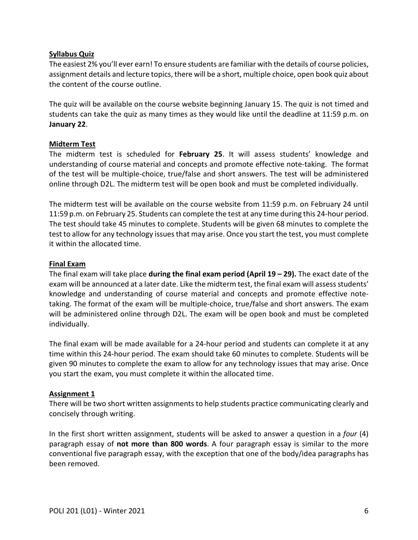## **Syllabus Quiz**

The easiest 2% you'll ever earn! To ensure students are familiar with the details of course policies, assignment details and lecture topics, there will be a short, multiple choice, open book quiz about the content of the course outline.

The quiz will be available on the course website beginning January 15. The quiz is not timed and students can take the quiz as many times as they would like until the deadline at 11:59 p.m. on **January 22**.

## **Midterm Test**

The midterm test is scheduled for **February 25**. It will assess students' knowledge and understanding of course material and concepts and promote effective note-taking. The format of the test will be multiple-choice, true/false and short answers. The test will be administered online through D2L. The midterm test will be open book and must be completed individually.

The midterm test will be available on the course website from 11:59 p.m. on February 24 until 11:59 p.m. on February 25. Students can complete the test at any time during this 24-hour period. The test should take 45 minutes to complete. Students will be given 68 minutes to complete the test to allow for any technology issues that may arise. Once you start the test, you must complete it within the allocated time.

## **Final Exam**

The final exam will take place **during the final exam period (April 19 – 29).** The exact date of the exam will be announced at a later date. Like the midterm test, the final exam will assess students' knowledge and understanding of course material and concepts and promote effective notetaking. The format of the exam will be multiple-choice, true/false and short answers. The exam will be administered online through D2L. The exam will be open book and must be completed individually.

The final exam will be made available for a 24-hour period and students can complete it at any time within this 24-hour period. The exam should take 60 minutes to complete. Students will be given 90 minutes to complete the exam to allow for any technology issues that may arise. Once you start the exam, you must complete it within the allocated time.

# **Assignment 1**

There will be two short written assignments to help students practice communicating clearly and concisely through writing.

In the first short written assignment, students will be asked to answer a question in a *four* (4) paragraph essay of **not more than 800 words**. A four paragraph essay is similar to the more conventional five paragraph essay, with the exception that one of the body/idea paragraphs has been removed.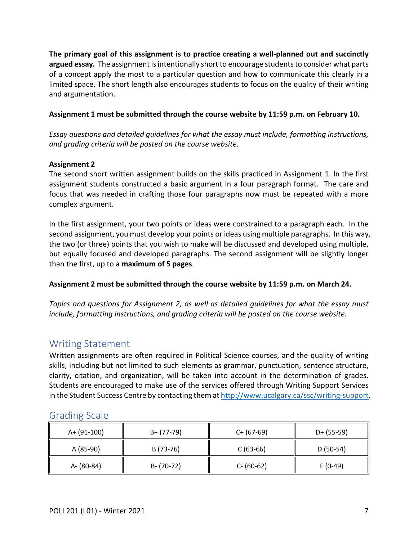**The primary goal of this assignment is to practice creating a well-planned out and succinctly argued essay.** The assignment is intentionally short to encourage students to consider what parts of a concept apply the most to a particular question and how to communicate this clearly in a limited space. The short length also encourages students to focus on the quality of their writing and argumentation.

## **Assignment 1 must be submitted through the course website by 11:59 p.m. on February 10.**

*Essay questions and detailed guidelines for what the essay must include, formatting instructions, and grading criteria will be posted on the course website.* 

## **Assignment 2**

The second short written assignment builds on the skills practiced in Assignment 1. In the first assignment students constructed a basic argument in a four paragraph format. The care and focus that was needed in crafting those four paragraphs now must be repeated with a more complex argument.

In the first assignment, your two points or ideas were constrained to a paragraph each. In the second assignment, you must develop your points or ideas using multiple paragraphs. In this way, the two (or three) points that you wish to make will be discussed and developed using multiple, but equally focused and developed paragraphs. The second assignment will be slightly longer than the first, up to a **maximum of 5 pages**.

# **Assignment 2 must be submitted through the course website by 11:59 p.m. on March 24.**

*Topics and questions for Assignment 2, as well as detailed guidelines for what the essay must include, formatting instructions, and grading criteria will be posted on the course website.*

# <span id="page-6-0"></span>Writing Statement

Written assignments are often required in Political Science courses, and the quality of writing skills, including but not limited to such elements as grammar, punctuation, sentence structure, clarity, citation, and organization, will be taken into account in the determination of grades. Students are encouraged to make use of the services offered through Writing Support Services in the Student Success Centre by contacting them a[t http://www.ucalgary.ca/ssc/writing-support.](http://www.ucalgary.ca/ssc/writing-support)

| A+ (91-100) | B+ (77-79)    | $C+ (67-69)$  | $D+ (55-59)$ |
|-------------|---------------|---------------|--------------|
| A (85-90)   | B (73-76)     | $C(63-66)$    | $D(50-54)$   |
| A- (80-84)  | $B - (70-72)$ | $C - (60-62)$ | $F(0-49)$    |

# <span id="page-6-1"></span>Grading Scale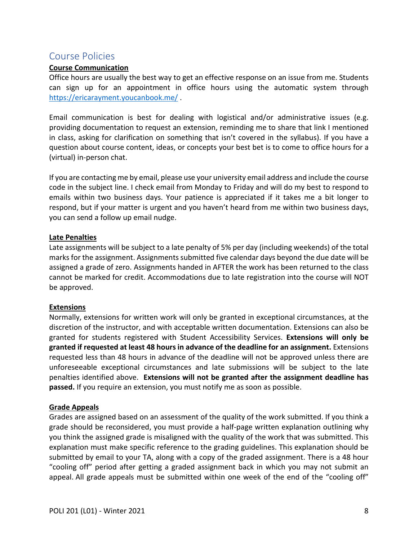# <span id="page-7-0"></span>Course Policies

### **Course Communication**

Office hours are usually the best way to get an effective response on an issue from me. Students can sign up for an appointment in office hours using the automatic system through <https://ericarayment.youcanbook.me/> .

Email communication is best for dealing with logistical and/or administrative issues (e.g. providing documentation to request an extension, reminding me to share that link I mentioned in class, asking for clarification on something that isn't covered in the syllabus). If you have a question about course content, ideas, or concepts your best bet is to come to office hours for a (virtual) in-person chat.

If you are contacting me by email, please use your university email address and include the course code in the subject line. I check email from Monday to Friday and will do my best to respond to emails within two business days. Your patience is appreciated if it takes me a bit longer to respond, but if your matter is urgent and you haven't heard from me within two business days, you can send a follow up email nudge.

### **Late Penalties**

Late assignments will be subject to a late penalty of 5% per day (including weekends) of the total marks for the assignment. Assignments submitted five calendar days beyond the due date will be assigned a grade of zero. Assignments handed in AFTER the work has been returned to the class cannot be marked for credit. Accommodations due to late registration into the course will NOT be approved.

### **Extensions**

Normally, extensions for written work will only be granted in exceptional circumstances, at the discretion of the instructor, and with acceptable written documentation. Extensions can also be granted for students registered with Student Accessibility Services. **Extensions will only be granted if requested at least 48 hours in advance of the deadline for an assignment.** Extensions requested less than 48 hours in advance of the deadline will not be approved unless there are unforeseeable exceptional circumstances and late submissions will be subject to the late penalties identified above. **Extensions will not be granted after the assignment deadline has passed.** If you require an extension, you must notify me as soon as possible.

### **Grade Appeals**

Grades are assigned based on an assessment of the quality of the work submitted. If you think a grade should be reconsidered, you must provide a half-page written explanation outlining why you think the assigned grade is misaligned with the quality of the work that was submitted. This explanation must make specific reference to the grading guidelines. This explanation should be submitted by email to your TA, along with a copy of the graded assignment. There is a 48 hour "cooling off" period after getting a graded assignment back in which you may not submit an appeal. All grade appeals must be submitted within one week of the end of the "cooling off"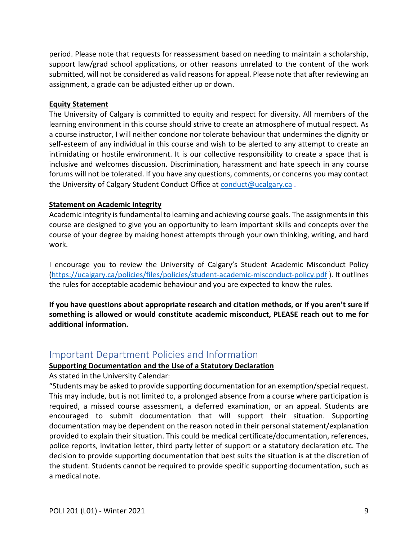period. Please note that requests for reassessment based on needing to maintain a scholarship, support law/grad school applications, or other reasons unrelated to the content of the work submitted, will not be considered as valid reasons for appeal. Please note that after reviewing an assignment, a grade can be adjusted either up or down.

#### **Equity Statement**

The University of Calgary is committed to equity and respect for diversity. All members of the learning environment in this course should strive to create an atmosphere of mutual respect. As a course instructor, I will neither condone nor tolerate behaviour that undermines the dignity or self-esteem of any individual in this course and wish to be alerted to any attempt to create an intimidating or hostile environment. It is our collective responsibility to create a space that is inclusive and welcomes discussion. Discrimination, harassment and hate speech in any course forums will not be tolerated. If you have any questions, comments, or concerns you may contact the University of Calgary Student Conduct Office at [conduct@ucalgary.ca](mailto:conduct@ucalgary.ca).

### **Statement on Academic Integrity**

Academic integrity is fundamental to learning and achieving course goals. The assignments in this course are designed to give you an opportunity to learn important skills and concepts over the course of your degree by making honest attempts through your own thinking, writing, and hard work.

I encourage you to review the University of Calgary's Student Academic Misconduct Policy [\(https://ucalgary.ca/policies/files/policies/student-academic-misconduct-policy.pdf](https://ucalgary.ca/policies/files/policies/student-academic-misconduct-policy.pdf) ). It outlines the rules for acceptable academic behaviour and you are expected to know the rules.

**If you have questions about appropriate research and citation methods, or if you aren't sure if something is allowed or would constitute academic misconduct, PLEASE reach out to me for additional information.** 

# <span id="page-8-0"></span>Important Department Policies and Information

### **Supporting Documentation and the Use of a Statutory Declaration**

As stated in the University Calendar:

"Students may be asked to provide supporting documentation for an exemption/special request. This may include, but is not limited to, a prolonged absence from a course where participation is required, a missed course assessment, a deferred examination, or an appeal. Students are encouraged to submit documentation that will support their situation. Supporting documentation may be dependent on the reason noted in their personal statement/explanation provided to explain their situation. This could be medical certificate/documentation, references, police reports, invitation letter, third party letter of support or a statutory declaration etc. The decision to provide supporting documentation that best suits the situation is at the discretion of the student. Students cannot be required to provide specific supporting documentation, such as a medical note.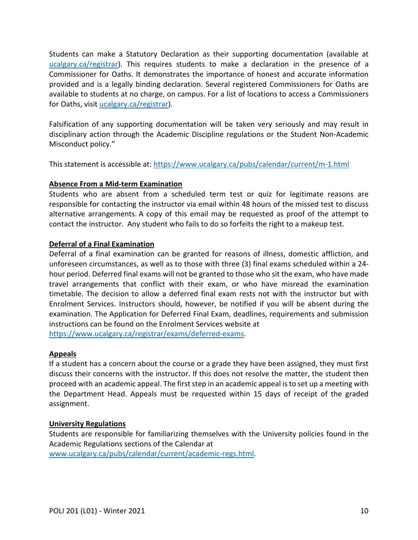Students can make a Statutory Declaration as their supporting documentation (available at [ucalgary.ca/registrar\)](http://www.ucalgary.ca/registrar). This requires students to make a declaration in the presence of a Commissioner for Oaths. It demonstrates the importance of honest and accurate information provided and is a legally binding declaration. Several registered Commissioners for Oaths are available to students at no charge, on campus. For a list of locations to access a Commissioners for Oaths, visit [ucalgary.ca/registrar\)](http://www.ucalgary.ca/registrar).

Falsification of any supporting documentation will be taken very seriously and may result in disciplinary action through the Academic Discipline regulations or the Student Non-Academic Misconduct policy."

This statement is accessible at:<https://www.ucalgary.ca/pubs/calendar/current/m-1.html>

## **Absence From a Mid-term Examination**

Students who are absent from a scheduled term test or quiz for legitimate reasons are responsible for contacting the instructor via email within 48 hours of the missed test to discuss alternative arrangements. A copy of this email may be requested as proof of the attempt to contact the instructor. Any student who fails to do so forfeits the right to a makeup test.

## **Deferral of a Final Examination**

Deferral of a final examination can be granted for reasons of illness, domestic affliction, and unforeseen circumstances, as well as to those with three (3) final exams scheduled within a 24 hour period. Deferred final exams will not be granted to those who sit the exam, who have made travel arrangements that conflict with their exam, or who have misread the examination timetable. The decision to allow a deferred final exam rests not with the instructor but with Enrolment Services. Instructors should, however, be notified if you will be absent during the examination. The Application for Deferred Final Exam, deadlines, requirements and submission instructions can be found on the Enrolment Services website at

[https://www.ucalgary.ca/registrar/exams/deferred-exams.](https://www.ucalgary.ca/registrar/exams/deferred-exams)

### **Appeals**

If a student has a concern about the course or a grade they have been assigned, they must first discuss their concerns with the instructor. If this does not resolve the matter, the student then proceed with an academic appeal. The first step in an academic appeal is to set up a meeting with the Department Head. Appeals must be requested within 15 days of receipt of the graded assignment.

### **University Regulations**

Students are responsible for familiarizing themselves with the University policies found in the Academic Regulations sections of the Calendar at [www.ucalgary.ca/pubs/calendar/current/academic-regs.html.](http://www.ucalgary.ca/pubs/calendar/current/academic-regs.html)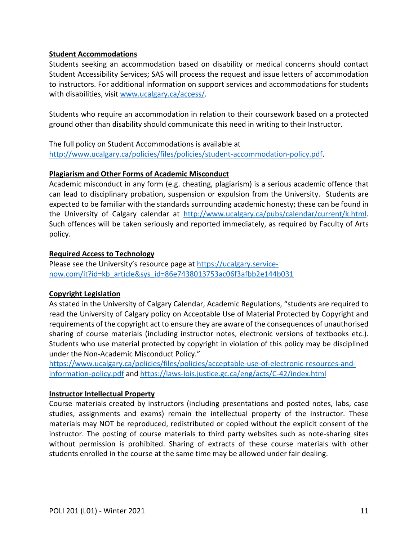### **Student Accommodations**

Students seeking an accommodation based on disability or medical concerns should contact Student Accessibility Services; SAS will process the request and issue letters of accommodation to instructors. For additional information on support services and accommodations for students with disabilities, visit [www.ucalgary.ca/access/.](http://www.ucalgary.ca/access/)

Students who require an accommodation in relation to their coursework based on a protected ground other than disability should communicate this need in writing to their Instructor.

The full policy on Student Accommodations is available at [http://www.ucalgary.ca/policies/files/policies/student-accommodation-policy.pdf.](http://www.ucalgary.ca/policies/files/policies/student-accommodation-policy.pdf)

### **Plagiarism and Other Forms of Academic Misconduct**

Academic misconduct in any form (e.g. cheating, plagiarism) is a serious academic offence that can lead to disciplinary probation, suspension or expulsion from the University. Students are expected to be familiar with the standards surrounding academic honesty; these can be found in the University of Calgary calendar at [http://www.ucalgary.ca/pubs/calendar/current/k.html.](http://www.ucalgary.ca/pubs/calendar/current/k.html) Such offences will be taken seriously and reported immediately, as required by Faculty of Arts policy.

## **Required Access to Technology**

Please see the University's resource page at [https://ucalgary.service](https://ucalgary.service-now.com/it?id=kb_article&sys_id=86e7438013753ac06f3afbb2e144b031)[now.com/it?id=kb\\_article&sys\\_id=86e7438013753ac06f3afbb2e144b031](https://ucalgary.service-now.com/it?id=kb_article&sys_id=86e7438013753ac06f3afbb2e144b031)

# **Copyright Legislation**

As stated in the University of Calgary Calendar, Academic Regulations, "students are required to read the University of Calgary policy on Acceptable Use of Material Protected by Copyright and requirements of the copyright act to ensure they are aware of the consequences of unauthorised sharing of course materials (including instructor notes, electronic versions of textbooks etc.). Students who use material protected by copyright in violation of this policy may be disciplined under the Non-Academic Misconduct Policy."

[https://www.ucalgary.ca/policies/files/policies/acceptable-use-of-electronic-resources-and](https://www.ucalgary.ca/policies/files/policies/acceptable-use-of-electronic-resources-and-information-policy.pdf)[information-policy.pdf](https://www.ucalgary.ca/policies/files/policies/acceptable-use-of-electronic-resources-and-information-policy.pdf) and<https://laws-lois.justice.gc.ca/eng/acts/C-42/index.html>

# **Instructor Intellectual Property**

Course materials created by instructors (including presentations and posted notes, labs, case studies, assignments and exams) remain the intellectual property of the instructor. These materials may NOT be reproduced, redistributed or copied without the explicit consent of the instructor. The posting of course materials to third party websites such as note-sharing sites without permission is prohibited. Sharing of extracts of these course materials with other students enrolled in the course at the same time may be allowed under fair dealing.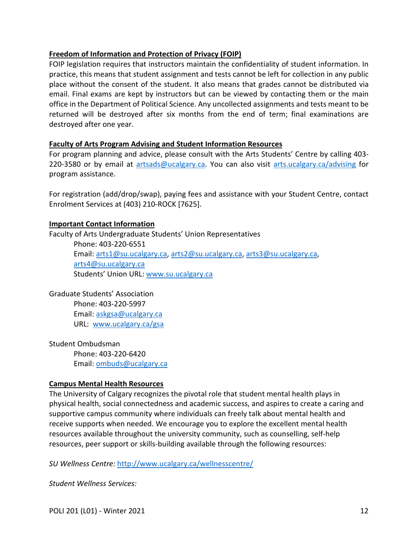## **Freedom of Information and Protection of Privacy (FOIP)**

FOIP legislation requires that instructors maintain the confidentiality of student information. In practice, this means that student assignment and tests cannot be left for collection in any public place without the consent of the student. It also means that grades cannot be distributed via email. Final exams are kept by instructors but can be viewed by contacting them or the main office in the Department of Political Science. Any uncollected assignments and tests meant to be returned will be destroyed after six months from the end of term; final examinations are destroyed after one year.

### **Faculty of Arts Program Advising and Student Information Resources**

For program planning and advice, please consult with the Arts Students' Centre by calling 403 220-3580 or by email at [artsads@ucalgary.ca.](mailto:artsads@ucalgary.ca) You can also visit [arts.ucalgary.ca/advising](http://arts.ucalgary.ca/advising) for program assistance.

For registration (add/drop/swap), paying fees and assistance with your Student Centre, contact Enrolment Services at (403) 210-ROCK [7625].

### **Important Contact Information**

Faculty of Arts Undergraduate Students' Union Representatives Phone: 403-220-6551 Email: [arts1@su.ucalgary.ca,](mailto:arts1@su.ucalgary.ca) [arts2@su.ucalgary.ca,](mailto:arts2@su.ucalgary.ca) [arts3@su.ucalgary.ca,](mailto:arts3@su.ucalgary.ca) [arts4@su.ucalgary.ca](mailto:arts4@su.ucalgary.ca) Students' Union URL: [www.su.ucalgary.ca](http://www.su.ucalgary.ca/)

Graduate Students' Association Phone: 403-220-5997 Email: [askgsa@ucalgary.ca](mailto:askgsa@ucalgary.ca) URL: [www.ucalgary.ca/gsa](http://www.ucalgary.ca/gsa)

Student Ombudsman Phone: 403-220-6420 Email: [ombuds@ucalgary.ca](mailto:ombuds@ucalgary.ca)

### **Campus Mental Health Resources**

The University of Calgary recognizes the pivotal role that student mental health plays in physical health, social connectedness and academic success, and aspires to create a caring and supportive campus community where individuals can freely talk about mental health and receive supports when needed. We encourage you to explore the excellent mental health resources available throughout the university community, such as counselling, self-help resources, peer support or skills-building available through the following resources:

*SU Wellness Centre:* <http://www.ucalgary.ca/wellnesscentre/>

*Student Wellness Services:*